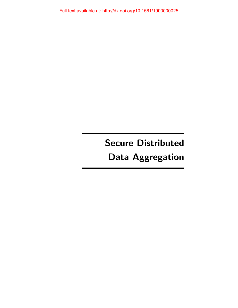Full text available at: http://dx.doi.org/10.1561/1900000025

# Secure Distributed Data Aggregation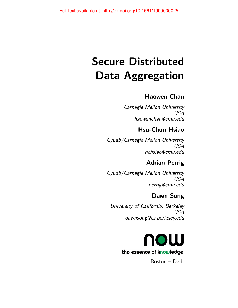# Secure Distributed Data Aggregation

## Haowen Chan

Carnegie Mellon University USA haowenchan@cmu.edu

## Hsu-Chun Hsiao

CyLab/Carnegie Mellon University USA hchsiao@cmu.edu

# Adrian Perrig

CyLab/Carnegie Mellon University USA perrig@cmu.edu

## Dawn Song

University of California, Berkeley USA dawnsong@cs.berkeley.edu



Boston – Delft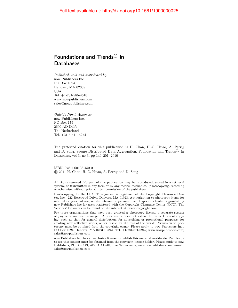### Foundations and Trends ${}^{\text{\textregistered}}$  in **Databases**

Published, sold and distributed by: now Publishers Inc. PO Box 1024 Hanover, MA 02339 USA Tel. +1-781-985-4510 www.nowpublishers.com sales@nowpublishers.com

Outside North America: now Publishers Inc. PO Box 179 2600 AD Delft The Netherlands Tel. +31-6-51115274

The preferred citation for this publication is H. Chan, H.-C. Hsiao, A. Perrig and D. Song, Secure Distributed Data Aggregation, Foundation and Trends<sup>(B)</sup> in Databases, vol 3, no 3, pp 149–201, 2010

ISBN: 978-1-60198-450-0 c 2011 H. Chan, H.-C. Hsiao, A. Perrig and D. Song

All rights reserved. No part of this publication may be reproduced, stored in a retrieval system, or transmitted in any form or by any means, mechanical, photocopying, recording or otherwise, without prior written permission of the publishers.

Photocopying. In the USA: This journal is registered at the Copyright Clearance Center, Inc., 222 Rosewood Drive, Danvers, MA 01923. Authorization to photocopy items for internal or personal use, or the internal or personal use of specific clients, is granted by now Publishers Inc for users registered with the Copyright Clearance Center (CCC). The 'services' for users can be found on the internet at: www.copyright.com

For those organizations that have been granted a photocopy license, a separate system of payment has been arranged. Authorization does not extend to other kinds of copying, such as that for general distribution, for advertising or promotional purposes, for creating new collective works, or for resale. In the rest of the world: Permission to photocopy must be obtained from the copyright owner. Please apply to now Publishers Inc., PO Box 1024, Hanover, MA 02339, USA; Tel. +1-781-871-0245; www.nowpublishers.com; sales@nowpublishers.com

now Publishers Inc. has an exclusive license to publish this material worldwide. Permission to use this content must be obtained from the copyright license holder. Please apply to now Publishers, PO Box 179, 2600 AD Delft, The Netherlands, www.nowpublishers.com; e-mail: sales@nowpublishers.com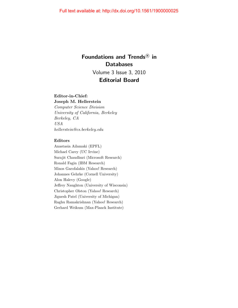## Foundations and Trends<sup>®</sup> in **Databases** Volume 3 Issue 3, 2010 Editorial Board

#### Editor-in-Chief:

Joseph M. Hellerstein Computer Science Division University of California, Berkeley Berkeley, CA USA hellerstein@cs.berkeley.edu

#### Editors

Anastasia Ailamaki (EPFL) Michael Carey (UC Irvine) Surajit Chaudhuri (Microsoft Research) Ronald Fagin (IBM Research) Minos Garofalakis (Yahoo! Research) Johannes Gehrke (Cornell University) Alon Halevy (Google) Jeffrey Naughton (University of Wisconsin) Christopher Olston (Yahoo! Research) Jignesh Patel (University of Michigan) Raghu Ramakrishnan (Yahoo! Research) Gerhard Weikum (Max-Planck Institute)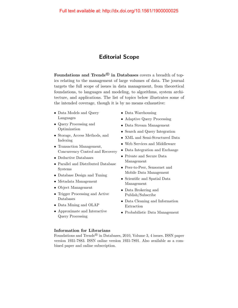### Editorial Scope

Foundations and Trends<sup>®</sup> in Databases covers a breadth of topics relating to the management of large volumes of data. The journal targets the full scope of issues in data management, from theoretical foundations, to languages and modeling, to algorithms, system architecture, and applications. The list of topics below illustrates some of the intended coverage, though it is by no means exhaustive:

- Data Models and Query Languages
- Query Processing and Optimization
- Storage, Access Methods, and Indexing
- Transaction Management, Concurrency Control and Recovery
- Deductive Databases
- Parallel and Distributed Database Systems
- Database Design and Tuning
- Metadata Management
- Object Management
- Trigger Processing and Active Databases
- Data Mining and OLAP
- Approximate and Interactive Query Processing
- Data Warehousing
- Adaptive Query Processing
- Data Stream Management
- Search and Query Integration
- XML and Semi-Structured Data
- Web Services and Middleware
- Data Integration and Exchange
- Private and Secure Data Management
- Peer-to-Peer, Sensornet and Mobile Data Management
- Scientific and Spatial Data Management
- Data Brokering and Publish/Subscribe
- Data Cleaning and Information Extraction
- Probabilistic Data Management

#### Information for Librarians

Foundations and Trends<sup>®</sup> in Databases, 2010, Volume 3, 4 issues. ISSN paper version 1931-7883. ISSN online version 1931-7891. Also available as a combined paper and online subscription.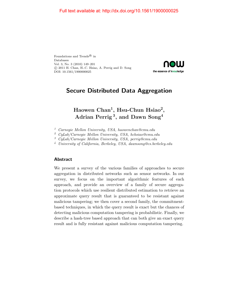Foundations and  $\operatorname{Trends}^{\textcircledR}$  in Databases Vol. 3, No. 3 (2010) 149–201 c 2011 H. Chan, H.-C. Hsiao, A. Perrig and D. Song DOI: 10.1561/1900000025



## Secure Distributed Data Aggregation

## Haowen Chan<sup>1</sup>, Hsu-Chun Hsiao<sup>2</sup>, Adrian Perrig<sup>3</sup>, and Dawn  $\mathrm{Song}^4$

- <sup>1</sup> Carnegie Mellon University, USA, haowenchan@cmu.edu
- <sup>2</sup> CyLab/Carnegie Mellon University, USA, hchsiao@cmu.edu
- <sup>3</sup> CyLab/Carnegie Mellon University, USA, perrig@cmu.edu

<sup>4</sup> University of California, Berkeley, USA, dawnsong@cs.berkeley.edu

#### Abstract

We present a survey of the various families of approaches to secure aggregation in distributed networks such as sensor networks. In our survey, we focus on the important algorithmic features of each approach, and provide an overview of a family of secure aggregation protocols which use resilient distributed estimation to retrieve an approximate query result that is guaranteed to be resistant against malicious tampering; we then cover a second family, the commitmentbased techniques, in which the query result is exact but the chances of detecting malicious computation tampering is probabilistic. Finally, we describe a hash-tree based approach that can both give an exact query result and is fully resistant against malicious computation tampering.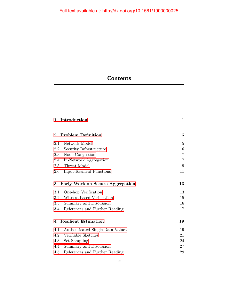# **Contents**

| 1        | Introduction                     | $\mathbf{1}$   |
|----------|----------------------------------|----------------|
| $\bf{2}$ | <b>Problem Definition</b>        | 5              |
| 2.1      | Network Model                    | $\overline{5}$ |
| 2.2      | Security Infrastructure          | 6              |
| 2.3      | Node Congestion                  | $\overline{7}$ |
| 2.4      | In-Network Aggregation           | $\overline{7}$ |
| 2.5      | Threat Model                     | 9              |
| 2.6      | Input-Resilient Functions        | 11             |
| 3        | Early Work on Secure Aggregation | 13             |
| 3.1      | One-hop Verification             | 13             |
| $3.2\,$  | Witness-based Verification       | 15             |
| $3.3\,$  | Summary and Discussion           | 16             |
| 3.4      | References and Further Reading   | 17             |
| 4        | <b>Resilient Estimation</b>      | 19             |
| 4.1      | Authenticated Single Data Values | 19             |
| 4.2      | Verifiable Sketches              | 21             |
| 4.3      | Set Sampling                     | 24             |
| 4.4      | Summary and Discussion           | 27             |
| 4.5      | References and Further Reading   | 29             |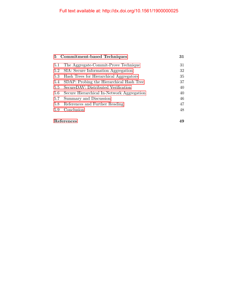|            | 5 Commitment-based Techniques              | 31 |
|------------|--------------------------------------------|----|
| 5.1        | The Aggregate-Commit-Prove Technique       | 31 |
| 5.2        | SIA: Secure Information Aggregation        | 32 |
| 5.3        | Hash Trees for Hierarchical Aggregators    | 35 |
| 5.4        | SDAP: Probing the Hierarchical Hash Tree   | 37 |
| 5.5        | SecureDAV: Distributed Verification        | 40 |
| 5.6        | Secure Hierarchical In-Network Aggregation | 40 |
| 5.7        | Summary and Discussion                     | 46 |
| 5.8        | References and Further Reading             | 47 |
| 5.9        | Conclusion                                 | 48 |
| References |                                            | 49 |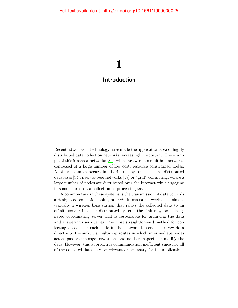<span id="page-8-0"></span>

Recent advances in technology have made the application area of highly distributed data collection networks increasingly important. One example of this is sensor networks [\[39\]](#page-13-0), which are wireless multihop networks composed of a large number of low cost, resource constrained nodes. Another example occurs in distributed systems such as distributed databases [\[34\]](#page-13-1), peer-to-peer networks [\[58\]](#page-15-0) or "grid" computing, where a large number of nodes are distributed over the Internet while engaging in some shared data collection or processing task.

A common task in these systems is the transmission of data towards a designated collection point, or sink. In sensor networks, the sink is typically a wireless base station that relays the collected data to an off-site server; in other distributed systems the sink may be a designated coordinating server that is responsible for archiving the data and answering user queries. The most straightforward method for collecting data is for each node in the network to send their raw data directly to the sink, via multi-hop routes in which intermediate nodes act as passive message forwarders and neither inspect nor modify the data. However, this approach is communication inefficient since not all of the collected data may be relevant or necessary for the application.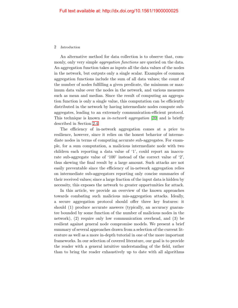#### 2 Introduction

An alternative method for data collection is to observe that, commonly, only very simple *aggregation functions* are queried on the data. An aggregation function takes as inputs all the data values of the nodes in the network, but outputs only a single scalar. Examples of common aggregation functions include the sum of all data values; the count of the number of nodes fulfilling a given predicate, the minimum or maximum data value over the nodes in the network, and various measures such as mean and median. Since the result of computing an aggregation function is only a single value, this computation can be efficiently distributed in the network by having intermediate nodes compute subaggregates, leading to an extremely communication-efficient protocol. This technique is known as *in-network aggregation* [\[39\]](#page-13-0) and is briefly described in Section [2.4.](#page--1-4)

The efficiency of in-network aggregation comes at a price to resilience, however, since it relies on the honest behavior of intermediate nodes in terms of computing accurate sub-aggregates. For example, for a sum computation, a malicious intermediate node with two children each reporting a data value of '1', could report an inaccurate sub-aggregate value of '100' instead of the correct value of '2', thus skewing the final result by a large amount. Such attacks are not easily preventable since the efficiency of in-network aggregation relies on intermediate sub-aggregators reporting only concise summaries of their received values; since a large fraction of the input data is hidden by necessity, this exposes the network to greater opportunities for attack.

In this article, we provide an overview of the known approaches towards combating such malicious mis-aggregation attacks. Ideally, a secure aggregation protocol should offer three key features: it should (1) produce accurate answers (typically, an accuracy guarantee bounded by some function of the number of malicious nodes in the network), (2) require only low communication overhead, and (3) be resilient against general node compromise models. We present a brief summary of several approaches drawn from a selection of the current literature as well as a more in-depth tutorial in one of the more important frameworks. In our selection of covered literature, our goal is to provide the reader with a general intuitive understanding of the field, rather than to bring the reader exhaustively up to date with all algorithms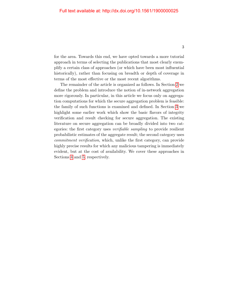for the area. Towards this end, we have opted towards a more tutorial approach in terms of selecting the publications that most clearly exemplify a certain class of approaches (or which have been most influential historically), rather than focusing on breadth or depth of coverage in terms of the most effective or the most recent algorithms.

The remainder of the article is organized as follows. In Section [2](#page--1-0) we define the problem and introduce the notion of in-network aggregation more rigorously. In particular, in this article we focus only on aggregation computations for which the secure aggregation problem is feasible: the family of such functions is examined and defined. In Section [3](#page--1-0) we highlight some earlier work which show the basic flavors of integrity verification and result checking for secure aggregation. The existing literature on secure aggregation can be broadly divided into two categories: the first category uses verifiable sampling to provide resilient probabilistic estimates of the aggregate result; the second category uses commitment verification, which, unlike the first category, can provide highly precise results for which any malicious tampering is immediately evident, but at the cost of availability. We cover these approaches in Sections [4](#page--1-0) and [5,](#page--1-0) respectively.

3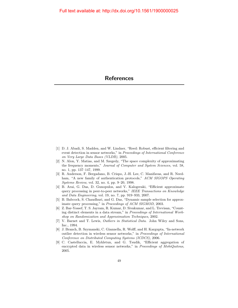- <span id="page-11-0"></span>[1] D. J. Abadi, S. Madden, and W. Lindner, "Reed: Robust, efficient filtering and event detection in sensor networks," in Proceedings of International Conference on Very Large Data Bases (VLDB), 2005.
- [2] N. Alon, Y. Matias, and M. Szegedy, "The space complexity of approximating the frequency moments," Journal of Computer and System Sciences, vol. 58, no. 1, pp. 137–147, 1999.
- [3] R. Anderson, F. Bergadano, B. Crispo, J.-H. Lee, C. Manifavas, and R. Needham, "A new family of authentication protocols," ACM SIGOPS Operating Systems Review, vol. 32, no. 4, pp. 9–20, 1998.
- [4] B. Arai, G. Das, D. Gunopulos, and V. Kalogeraki, "Efficient approximate query processing in peer-to-peer networks," IEEE Transactions on Knowledge and Data Engineering, vol. 19, no. 7, pp. 919–933, 2007.
- [5] B. Babcock, S. Chaudhuri, and G. Das, "Dynamic sample selection for approximate query processing," in Proceedings of ACM SIGMOD, 2003.
- [6] Z. Bar-Yossef, T. S. Jayram, R. Kumar, D. Sivakumar, and L. Trevisan, "Counting distinct elements in a data stream," in Proceedings of International Workshop on Randomization and Approximation Techniques, 2002.
- [7] V. Barnet and T. Lewis, Outliers in Statistical Data. John Wiley and Sons, Inc., 1994.
- [8] J. Branch, B. Szymanski, C. Giannella, R. Wolff, and H. Kargupta, "In-network outlier detection in wireless sensor networks," in Proceedings of International Conference on Distributed Computing Systems (ICDCS), 2006.
- [9] C. Castelluccia, E. Mykletun, and G. Tsudik, "Efficient aggregation of encrypted data in wireless sensor networks," in Proceedings of MobiQuitous, 2005.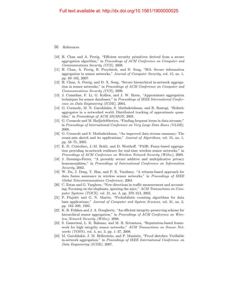- [10] H. Chan and A. Perrig, "Efficient security primitives derived from a secure aggregation algorithm," in Proceedings of ACM Conference on Computer and Communications Security (CCS), 2008.
- [11] H. Chan, A. Perrig, B. Przydatek, and D. Song, "SIA: Secure information aggregation in sensor networks," Journal of Computer Security, vol. 15, no. 1, pp. 69–102, 2007.
- [12] H. Chan, A. Perrig, and D. X. Song, "Secure hierarchical in-network aggregation in sensor networks," in Proceedings of ACM Conference on Computer and Communications Security (CCS), 2006.
- [13] J. Considine, F. Li, G. Kollios, and J. W. Byers, "Approximate aggregation techniques for sensor databases," in Proceedings of IEEE International Conference on Data Engineering (ICDE), 2004.
- [14] G. Cormode, M. N. Garofalakis, S. Muthukrishnan, and R. Rastogi, "Holistic aggregates in a networked world: Distributed tracking of approximate quantiles," in Proceedings of ACM SIGMOD, 2005.
- [15] G. Cormode and M. Hadjieleftheriou, "Finding frequent items in data streams," in Proceedings of International Conference on Very Large Data Bases (VLDB), 2008.
- [16] G. Cormode and S. Muthukrishnan, "An improved data stream summary: The count-min sketch and its applications," Journal of Algorithms, vol. 55, no. 1, pp. 58–75, 2005.
- [17] E. D. Cristofaro, J.-M. Bohli, and D. Westhoff, "FAIR: Fuzzy-based aggregation providing in-network resilience for real-time wireless sensor networks," in Proceedings of ACM Conference on Wireless Network Security (WiSec), 2009.
- [18] J. Domingo-Ferrer, "A provably secure additive and multiplicative privacy homomorphism," in *Proceedings of International Conference on Information* Security, 2002.
- [19] W. Du, J. Deng, Y. Han, and P. K. Varshney, "A witness-based approach for data fusion assurance in wireless sensor networks," in Proceedings of IEEE Global Telecommunications Conference, 2003.
- [20] C. Estan and G. Varghese, "New directions in traffic measurement and accounting: Focusing on the elephants, ignoring the mice," ACM Transactions on Computer Systems (TOCS), vol. 21, no. 3, pp. 270–313, 2003.
- [21] P. Flajolet and G. N. Martin, "Probabilistic counting algorithms for data base applications," Journal of Computer and System Sciences, vol. 31, no. 2, pp. 182–209, 1985.
- [22] K. B. Frikken and J. A. Dougherty, "An efficient integrity-preserving scheme for hierarchical sensor aggregation," in *Proceedings of ACM Conference on Wire*less Network Security (WiSec), 2008.
- [23] S. Ganeriwal, L. K. Balzano, and M. B. Srivastava, "Reputation-based framework for high integrity sensor networks," ACM Transactions on Sensor Networks (TOSN), vol. 4, no. 3, pp. 1–37, 2008.
- [24] M. Garofalakis, J. M. Hellerstein, and P. Maniatis, "Proof sketches: Verifiable in-network aggregation," in Proceedings of IEEE International Conference on Data Engineering (ICDE), 2007.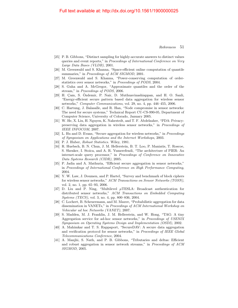#### Full text available at: http://dx.doi.org/10.1561/1900000025

- [25] P. B. Gibbons, "Distinct sampling for highly-accurate answers to distinct values queries and event reports," in Proceedings of International Conference on Very Large Data Bases (VLDB), 2001.
- [26] M. Greenwald and S. Khanna, "Space-efficient online computation of quantile summaries," in Proceedings of ACM SIGMOD, 2001.
- [27] M. Greenwald and S. Khanna, "Power-conserving computation of orderstatistics over sensor networks," in Proceedings of PODS, 2004.
- [28] S. Guha and A. McGregor, "Approximate quantiles and the order of the stream," in Proceedings of PODS, 2006.
- [29] H. Cam, S. Ozdemir, P. Nair, D. Muthuavinashiappan, and H. O. Sanli, "Energy-efficient secure pattern based data aggregation for wireless sensor networks," Computer Communications, vol. 29, no. 4, pp. 446–455, 2006.
- [30] C. Hartung, J. Balasalle, and R. Han, "Node compromise in sensor networks: The need for secure systems," Technical Report CU-CS-990-05, Department of Computer Science, University of Colorado, January 2005.
- [31] W. He, X. Liu, H. Nguyen, K. Nahrstedt, and T. F. Abdelzaher, "PDA: Privacypreserving data aggregation in wireless sensor networks," in Proceedings of IEEE INFOCOM, 2007.
- [32] L. Hu and D. Evans, "Secure aggregation for wireless networks," in Proceedings of Symposium on Applications and the Internet Workshops, 2003.
- [33] P. J. Huber, *Robust Statistics*. Wiley, 1981.
- <span id="page-13-1"></span>[34] R. Huebsch, B. N. Chun, J. M. Hellerstein, B. T. Loo, P. Maniatis, T. Roscoe, S. Shenker, I. Stoica, and A. R. Yumerefendi, "The architecture of PIER: An internet-scale query processor," in Proceedings of Conference on Innovative Data Systems Research (CIDR), 2005.
- [35] P. Jadia and A. Mathuria, "Efficient secure aggregation in sensor networks," in Proceedings of International Conference on High Performance Computing, 2004.
- [36] Y. W. Law, J. Doumen, and P. Hartel, "Survey and benchmark of block ciphers for wireless sensor networks," ACM Transactions on Sensor Networks (TOSN), vol. 2, no. 1, pp. 65–93, 2006.
- [37] D. Liu and P. Ning, "Multilevel µTESLA: Broadcast authentication for distributed sensor networks," ACM Transactions on Embedded Computing Systems (TECS), vol. 3, no. 4, pp. 800–836, 2004.
- [38] C. Lochert, B. Scheuermann, and M. Mauve, "Probabilistic aggregation for data dissemination in VANETs," in Proceedings of ACM International Workshop on Vehicular ad hoc Networks (VANET), 2007.
- <span id="page-13-0"></span>[39] S. Madden, M. J. Franklin, J. M. Hellerstein, and W. Hong, "TAG: A tiny Aggregation service for ad-hoc sensor networks," in Proceedings of USENIX Symposium on Operating Systems Design and Implementation (OSDI), 2002.
- [40] A. Mahimkar and T. S. Rappaport, "SecureDAV: A secure data aggregation and verification protocol for sensor networks," in Proceedings of IEEE Global Telecommunications Conference, 2004.
- [41] A. Manjhi, S. Nath, and P. B. Gibbons, "Tributaries and deltas: Efficient and robust aggregation in sensor network streams," in Proceedings of ACM SIGMOD, 2005.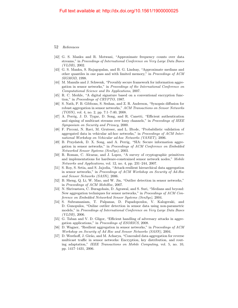- [42] G. S. Manku and R. Motwani, "Approximate frequency counts over data streams," in Proceedings of International Conference on Very Large Data Bases (VLDB), 2002.
- [43] G. S. Manku, S. Rajagopalan, and B. G. Lindsay, "Approximate medians and other quantiles in one pass and with limited memory," in Proceedings of ACM SIGMOD, 1998.
- [44] M. Manulis and J. Schwenk, "Provably secure framework for information aggregation in sensor networks," in Proceedings of the International Conference on Computational Science and Its Applications, 2007.
- [45] R. C. Merkle, "A digital signature based on a conventional encryption function," in Proceedings of CRYPTO, 1987.
- [46] S. Nath, P. B. Gibbons, S. Seshan, and Z. R. Anderson, "Synopsis diffusion for robust aggregation in sensor networks," ACM Transactions on Sensor Networks  $(TOSN)$ , vol. 4, no. 2, pp. 7:1–7:40, 2008.
- [47] A. Perrig, J. D. Tygar, D. Song, and R. Canetti, "Efficient authentication and signing of multicast streams over lossy channels," in Proceedings of IEEE Symposium on Security and Privacy, 2000.
- [48] F. Picconi, N. Ravi, M. Gruteser, and L. Iftode, "Probabilistic validation of aggregated data in vehicular ad-hoc networks," in Proceedings of ACM International Workshop on Vehicular ad-hoc Networks (VANET), 2006.
- [49] B. Przydatek, D. X. Song, and A. Perrig, "SIA: Secure information aggregation in sensor networks," in Proceedings of ACM Conference on Embedded Networked Sensor Systems (SenSys), 2003.
- [50] R. Roman, C. Alcaraz, and J. Lopez, "A survey of cryptographic primitives and implementations for hardware-constrained sensor network nodes," Mobile Networks and Applications, vol. 12, no. 4, pp. 231–244, 2007.
- [51] S. Roy, S. Setia, and S. Jajodia, "Attack-resilient hierarchical data aggregation in sensor networks," in Proceedings of ACM Workshop on Security of Ad-Hoc and Sensor Networks (SASN), 2006.
- [52] B. Sheng, Q. Li, W. Mao, and W. Jin, "Outlier detection in sensor networks," in Proceedings of ACM MobiHoc, 2007.
- [53] N. Shrivastava, C. Buragohain, D. Agrawal, and S. Suri, "Medians and beyond: New aggregation techniques for sensor networks," in Proceedings of ACM Conference on Embedded Networked Sensor Systems (SenSys), 2004.
- [54] S. Subramaniam, T. Palpanas, D. Papadopoulos, V. Kalogeraki, and D. Gunopulos, "Online outlier detection in sensor data using non-parametric models," in Proceedings of International Conference on Very Large Data Bases (VLDB), 2006.
- [55] G. Taban and V. D. Gligor, "Efficient handling of adversary attacks in aggregation applications," in Proceedings of ESORICS, 2008.
- [56] D. Wagner, "Resilient aggregation in sensor networks," in Proceedings of ACM Workshop on Security of Ad Hoc and Sensor Networks (SASN), 2004.
- [57] D. Westhoff, J. Girão, and M. Acharya, "Concealed data aggregation for reverse multicast traffic in sensor networks: Encryption, key distribution, and routing adaptation," IEEE Transactions on Mobile Computing, vol. 5, no. 10, pp. 1417–1431, 2006.